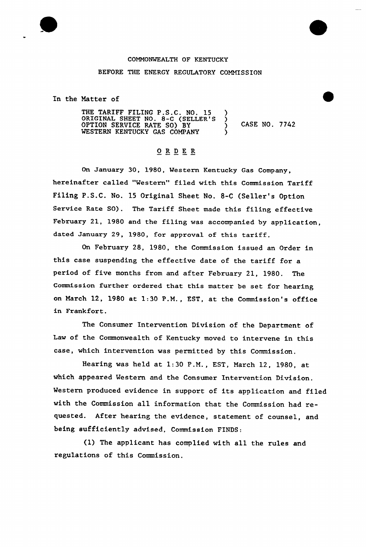

## COMMONWEALTH OF KENTUCKY BEFORE THE ENERGY REGULATORY COMMISSION

In the Matter of

THE TARIFF FILING P.S.C. NO. 15 )<br>ORIGINAL SHEET NO. 8-C (SELLER'S ) ORIGINAL SHEET NO. 8-C (SELLER'S ) OPTION SERVICE RATE SO) BY (1) CASE NO. 7742 WESTERN KENTUCKY GAS COMPANY

## ORDER

On January 30, 1980, Wes tern Kentucky Gas Company, hereinafter called "Western" filed with this Commission Tariff Filing P.S.C. No. 15 Original Sheet No. 8-C (Seller's Option Service Rate SO). The Tariff Sheet made this filing effective February 21, 1980 and the filing was accompanied by application, dated January 29, 1980, for approval of this tariff.

On February 28, 1980, the Commission issued an Order in this case suspending the effective date of the tariff for a period of five months from and after February 21, 1980. The Commission further ordered that this matter be set for hearing on March 12, 1980 at 1:30 P.M., EST, at the Commission's office in Frankfort.

The Consumer Intervention Division of the Department of Law of the Commonwealth of Kentucky moved to intervene in this case, which intervention was permitted by this Commission.

Hearing was held at 1:30 P.M., EST, March 12, 1980, at which appeared Western and the Consumer Intervention Division. Western produced evidence in support of its application and filed with the Commission all information that the Commission had requested. After hearing the evidence, statement of counsel, and being sufficiently advised, Commission FINDS:

(1) The applicant has complied with all the rules and regulations of this Commission.